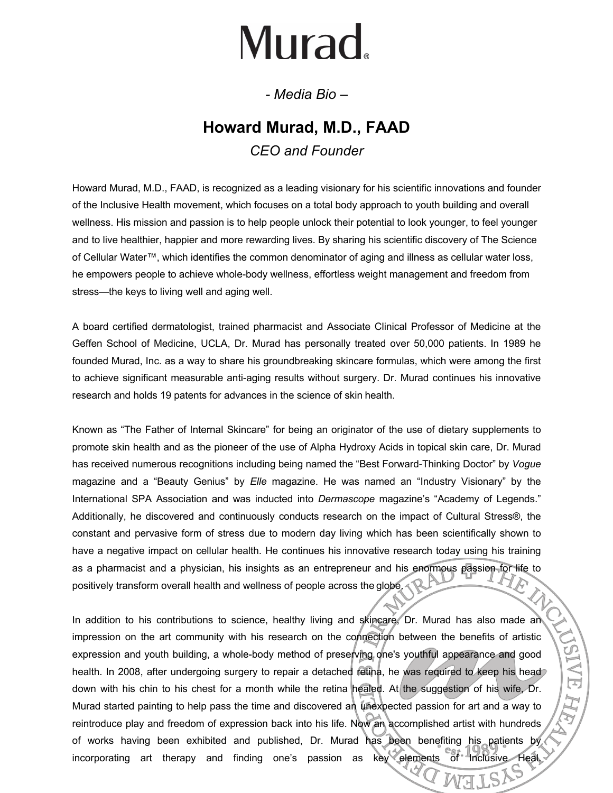## **Murad.**

### *- Media Bio –*

### **Howard Murad, M.D., FAAD** *CEO and Founder*

Howard Murad, M.D., FAAD, is recognized as a leading visionary for his scientific innovations and founder of the Inclusive Health movement, which focuses on a total body approach to youth building and overall wellness. His mission and passion is to help people unlock their potential to look younger, to feel younger and to live healthier, happier and more rewarding lives. By sharing his scientific discovery of The Science of Cellular Water™, which identifies the common denominator of aging and illness as cellular water loss, he empowers people to achieve whole-body wellness, effortless weight management and freedom from stress—the keys to living well and aging well.

A board certified dermatologist, trained pharmacist and Associate Clinical Professor of Medicine at the Geffen School of Medicine, UCLA, Dr. Murad has personally treated over 50,000 patients. In 1989 he founded Murad, Inc. as a way to share his groundbreaking skincare formulas, which were among the first to achieve significant measurable anti-aging results without surgery. Dr. Murad continues his innovative research and holds 19 patents for advances in the science of skin health.

Known as "The Father of Internal Skincare" for being an originator of the use of dietary supplements to promote skin health and as the pioneer of the use of Alpha Hydroxy Acids in topical skin care, Dr. Murad has received numerous recognitions including being named the "Best Forward-Thinking Doctor" by *Vogue*  magazine and a "Beauty Genius" by *Elle* magazine. He was named an "Industry Visionary" by the International SPA Association and was inducted into *Dermascope* magazine's "Academy of Legends." Additionally, he discovered and continuously conducts research on the impact of Cultural Stress®, the constant and pervasive form of stress due to modern day living which has been scientifically shown to have a negative impact on cellular health. He continues his innovative research today using his training as a pharmacist and a physician, his insights as an entrepreneur and his enormous passion for life to positively transform overall health and wellness of people across the globe.

In addition to his contributions to science, healthy living and skincare, Dr. Murad has also made ar impression on the art community with his research on the connection between the benefits of artistic expression and youth building, a whole-body method of preserving one's youthful appearance and good health. In 2008, after undergoing surgery to repair a detached retina, he was required to keep his head down with his chin to his chest for a month while the retina healed. At the suggestion of his wife, Dr. Murad started painting to help pass the time and discovered an unexpected passion for art and a way to reintroduce play and freedom of expression back into his life. Now an accomplished artist with hundreds of works having been exhibited and published, Dr. Murad has been benefiting his patients by incorporating art therapy and finding one's passion as key elements of Inclusive Heal.

**AH TAISON** 

L F.W